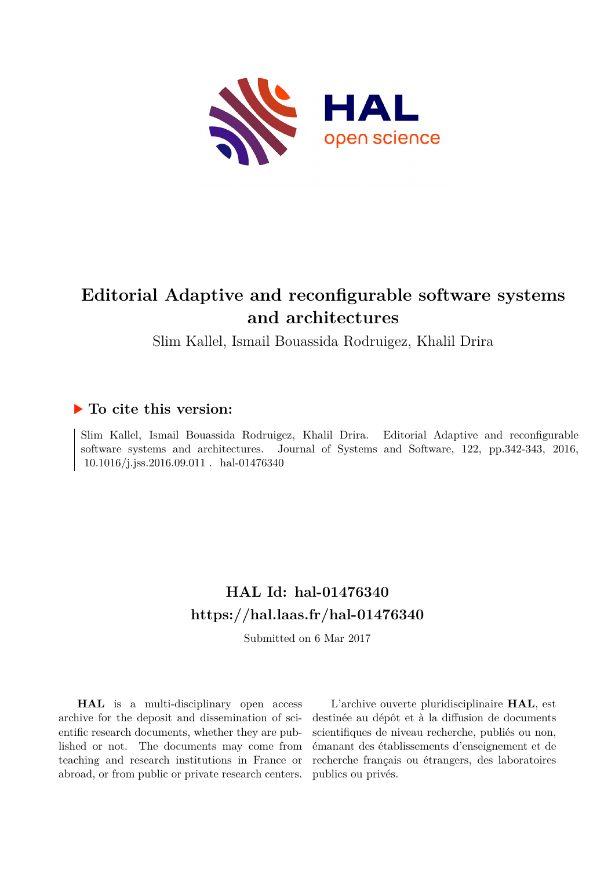

# **Editorial Adaptive and reconfigurable software systems and architectures**

Slim Kallel, Ismail Bouassida Rodruigez, Khalil Drira

## **To cite this version:**

Slim Kallel, Ismail Bouassida Rodruigez, Khalil Drira. Editorial Adaptive and reconfigurable software systems and architectures. Journal of Systems and Software, 122, pp.342-343, 2016,  $10.1016/j.jss.2016.09.011$ . hal-01476340

# **HAL Id: hal-01476340 <https://hal.laas.fr/hal-01476340>**

Submitted on 6 Mar 2017

**HAL** is a multi-disciplinary open access archive for the deposit and dissemination of scientific research documents, whether they are published or not. The documents may come from teaching and research institutions in France or abroad, or from public or private research centers.

L'archive ouverte pluridisciplinaire **HAL**, est destinée au dépôt et à la diffusion de documents scientifiques de niveau recherche, publiés ou non, émanant des établissements d'enseignement et de recherche français ou étrangers, des laboratoires publics ou privés.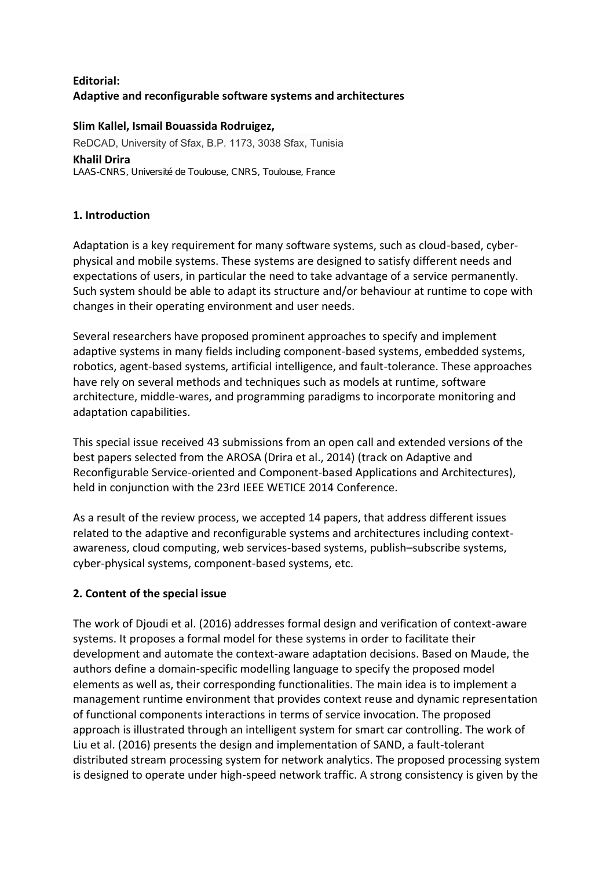#### **Editorial: Adaptive and reconfigurable software systems and architectures**

#### **Slim Kallel, Ismail Bouassida Rodruigez,**

ReDCAD, University of Sfax, B.P. 1173, 3038 Sfax, Tunisia **Khalil Drira LAAS-CNRS, Université de Toulouse, CNRS, Toulouse, France**

### **1. Introduction**

Adaptation is a key requirement for many software systems, such as cloud-based, cyberphysical and mobile systems. These systems are designed to satisfy different needs and expectations of users, in particular the need to take advantage of a service permanently. Such system should be able to adapt its structure and/or behaviour at runtime to cope with changes in their operating environment and user needs.

Several researchers have proposed prominent approaches to specify and implement adaptive systems in many fields including component-based systems, embedded systems, robotics, agent-based systems, artificial intelligence, and fault-tolerance. These approaches have rely on several methods and techniques such as models at runtime, software architecture, middle-wares, and programming paradigms to incorporate monitoring and adaptation capabilities.

This special issue received 43 submissions from an open call and extended versions of the best papers selected from the AROSA (Drira et al., 2014) (track on Adaptive and Reconfigurable Service-oriented and Component-based Applications and Architectures), held in conjunction with the 23rd IEEE WETICE 2014 Conference.

As a result of the review process, we accepted 14 papers, that address different issues related to the adaptive and reconfigurable systems and architectures including contextawareness, cloud computing, web services-based systems, publish–subscribe systems, cyber-physical systems, component-based systems, etc.

### **2. Content of the special issue**

The work of Djoudi et al. (2016) addresses formal design and verification of context-aware systems. It proposes a formal model for these systems in order to facilitate their development and automate the context-aware adaptation decisions. Based on Maude, the authors define a domain-specific modelling language to specify the proposed model elements as well as, their corresponding functionalities. The main idea is to implement a management runtime environment that provides context reuse and dynamic representation of functional components interactions in terms of service invocation. The proposed approach is illustrated through an intelligent system for smart car controlling. The work of Liu et al. (2016) presents the design and implementation of SAND, a fault-tolerant distributed stream processing system for network analytics. The proposed processing system is designed to operate under high-speed network traffic. A strong consistency is given by the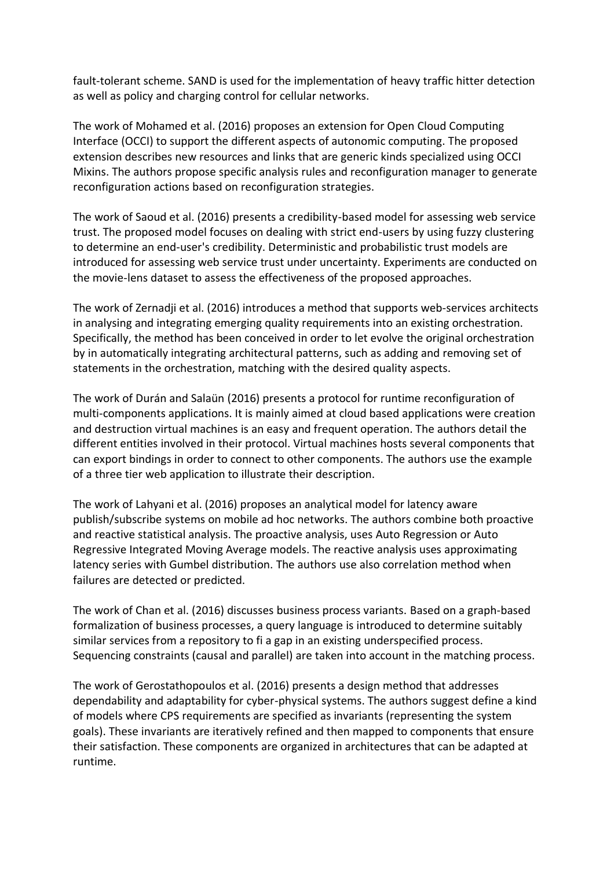fault-tolerant scheme. SAND is used for the implementation of heavy traffic hitter detection as well as policy and charging control for cellular networks.

The work of Mohamed et al. (2016) proposes an extension for Open Cloud Computing Interface (OCCI) to support the different aspects of autonomic computing. The proposed extension describes new resources and links that are generic kinds specialized using OCCI Mixins. The authors propose specific analysis rules and reconfiguration manager to generate reconfiguration actions based on reconfiguration strategies.

The work of Saoud et al. (2016) presents a credibility-based model for assessing web service trust. The proposed model focuses on dealing with strict end-users by using fuzzy clustering to determine an end-user's credibility. Deterministic and probabilistic trust models are introduced for assessing web service trust under uncertainty. Experiments are conducted on the movie-lens dataset to assess the effectiveness of the proposed approaches.

The work of Zernadji et al. (2016) introduces a method that supports web-services architects in analysing and integrating emerging quality requirements into an existing orchestration. Specifically, the method has been conceived in order to let evolve the original orchestration by in automatically integrating architectural patterns, such as adding and removing set of statements in the orchestration, matching with the desired quality aspects.

The work of Durán and Salaün (2016) presents a protocol for runtime reconfiguration of multi-components applications. It is mainly aimed at cloud based applications were creation and destruction virtual machines is an easy and frequent operation. The authors detail the different entities involved in their protocol. Virtual machines hosts several components that can export bindings in order to connect to other components. The authors use the example of a three tier web application to illustrate their description.

The work of Lahyani et al. (2016) proposes an analytical model for latency aware publish/subscribe systems on mobile ad hoc networks. The authors combine both proactive and reactive statistical analysis. The proactive analysis, uses Auto Regression or Auto Regressive Integrated Moving Average models. The reactive analysis uses approximating latency series with Gumbel distribution. The authors use also correlation method when failures are detected or predicted.

The work of Chan et al. (2016) discusses business process variants. Based on a graph-based formalization of business processes, a query language is introduced to determine suitably similar services from a repository to fi a gap in an existing underspecified process. Sequencing constraints (causal and parallel) are taken into account in the matching process.

The work of Gerostathopoulos et al. (2016) presents a design method that addresses dependability and adaptability for cyber-physical systems. The authors suggest define a kind of models where CPS requirements are specified as invariants (representing the system goals). These invariants are iteratively refined and then mapped to components that ensure their satisfaction. These components are organized in architectures that can be adapted at runtime.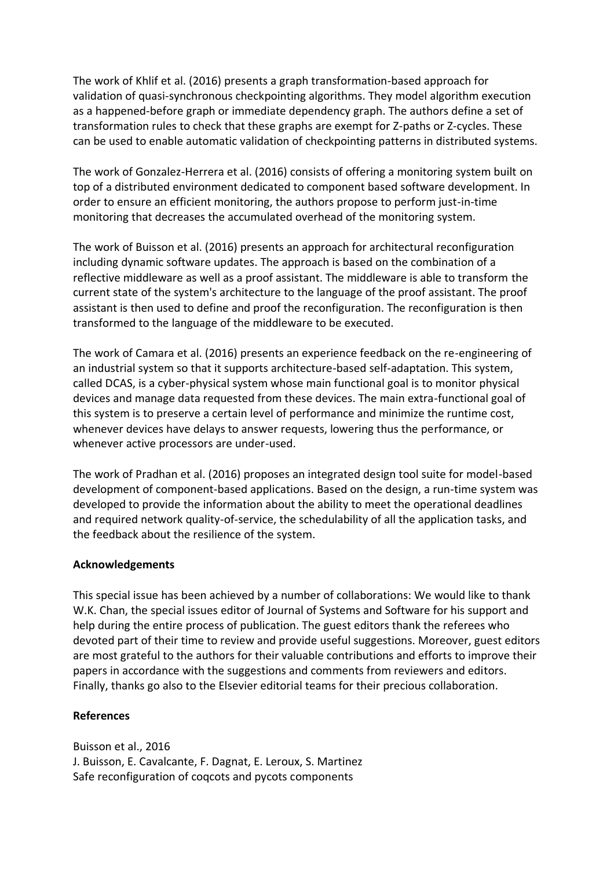The work of Khlif et al. (2016) presents a graph transformation-based approach for validation of quasi-synchronous checkpointing algorithms. They model algorithm execution as a happened-before graph or immediate dependency graph. The authors define a set of transformation rules to check that these graphs are exempt for Z-paths or Z-cycles. These can be used to enable automatic validation of checkpointing patterns in distributed systems.

The work of Gonzalez-Herrera et al. (2016) consists of offering a monitoring system built on top of a distributed environment dedicated to component based software development. In order to ensure an efficient monitoring, the authors propose to perform just-in-time monitoring that decreases the accumulated overhead of the monitoring system.

The work of Buisson et al. (2016) presents an approach for architectural reconfiguration including dynamic software updates. The approach is based on the combination of a reflective middleware as well as a proof assistant. The middleware is able to transform the current state of the system's architecture to the language of the proof assistant. The proof assistant is then used to define and proof the reconfiguration. The reconfiguration is then transformed to the language of the middleware to be executed.

The work of Camara et al. (2016) presents an experience feedback on the re-engineering of an industrial system so that it supports architecture-based self-adaptation. This system, called DCAS, is a cyber-physical system whose main functional goal is to monitor physical devices and manage data requested from these devices. The main extra-functional goal of this system is to preserve a certain level of performance and minimize the runtime cost, whenever devices have delays to answer requests, lowering thus the performance, or whenever active processors are under-used.

The work of Pradhan et al. (2016) proposes an integrated design tool suite for model-based development of component-based applications. Based on the design, a run-time system was developed to provide the information about the ability to meet the operational deadlines and required network quality-of-service, the schedulability of all the application tasks, and the feedback about the resilience of the system.

#### **Acknowledgements**

This special issue has been achieved by a number of collaborations: We would like to thank W.K. Chan, the special issues editor of Journal of Systems and Software for his support and help during the entire process of publication. The guest editors thank the referees who devoted part of their time to review and provide useful suggestions. Moreover, guest editors are most grateful to the authors for their valuable contributions and efforts to improve their papers in accordance with the suggestions and comments from reviewers and editors. Finally, thanks go also to the Elsevier editorial teams for their precious collaboration.

#### **References**

Buisson et al., 2016 J. Buisson, E. Cavalcante, F. Dagnat, E. Leroux, S. Martinez Safe reconfiguration of coqcots and pycots components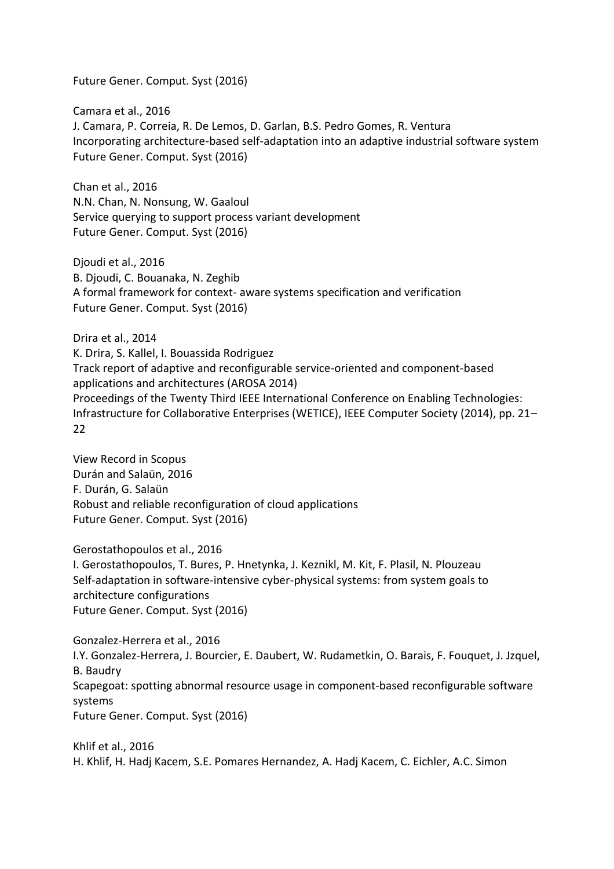Future Gener. Comput. Syst (2016)

Camara et al., 2016 J. Camara, P. Correia, R. De Lemos, D. Garlan, B.S. Pedro Gomes, R. Ventura Incorporating architecture-based self-adaptation into an adaptive industrial software system Future Gener. Comput. Syst (2016)

Chan et al., 2016 N.N. Chan, N. Nonsung, W. Gaaloul Service querying to support process variant development Future Gener. Comput. Syst (2016)

Djoudi et al., 2016 B. Djoudi, C. Bouanaka, N. Zeghib A formal framework for context- aware systems specification and verification Future Gener. Comput. Syst (2016)

Drira et al., 2014 K. Drira, S. Kallel, I. Bouassida Rodriguez Track report of adaptive and reconfigurable service-oriented and component-based applications and architectures (AROSA 2014) Proceedings of the Twenty Third IEEE International Conference on Enabling Technologies: Infrastructure for Collaborative Enterprises (WETICE), IEEE Computer Society (2014), pp. 21–  $22$ 

View Record in Scopus Durán and Salaün, 2016 F. Durán, G. Salaün Robust and reliable reconfiguration of cloud applications Future Gener. Comput. Syst (2016)

Gerostathopoulos et al., 2016

I. Gerostathopoulos, T. Bures, P. Hnetynka, J. Keznikl, M. Kit, F. Plasil, N. Plouzeau Self-adaptation in software-intensive cyber-physical systems: from system goals to architecture configurations Future Gener. Comput. Syst (2016)

Gonzalez-Herrera et al., 2016 I.Y. Gonzalez-Herrera, J. Bourcier, E. Daubert, W. Rudametkin, O. Barais, F. Fouquet, J. Jzquel, B. Baudry Scapegoat: spotting abnormal resource usage in component-based reconfigurable software systems Future Gener. Comput. Syst (2016)

Khlif et al., 2016 H. Khlif, H. Hadj Kacem, S.E. Pomares Hernandez, A. Hadj Kacem, C. Eichler, A.C. Simon